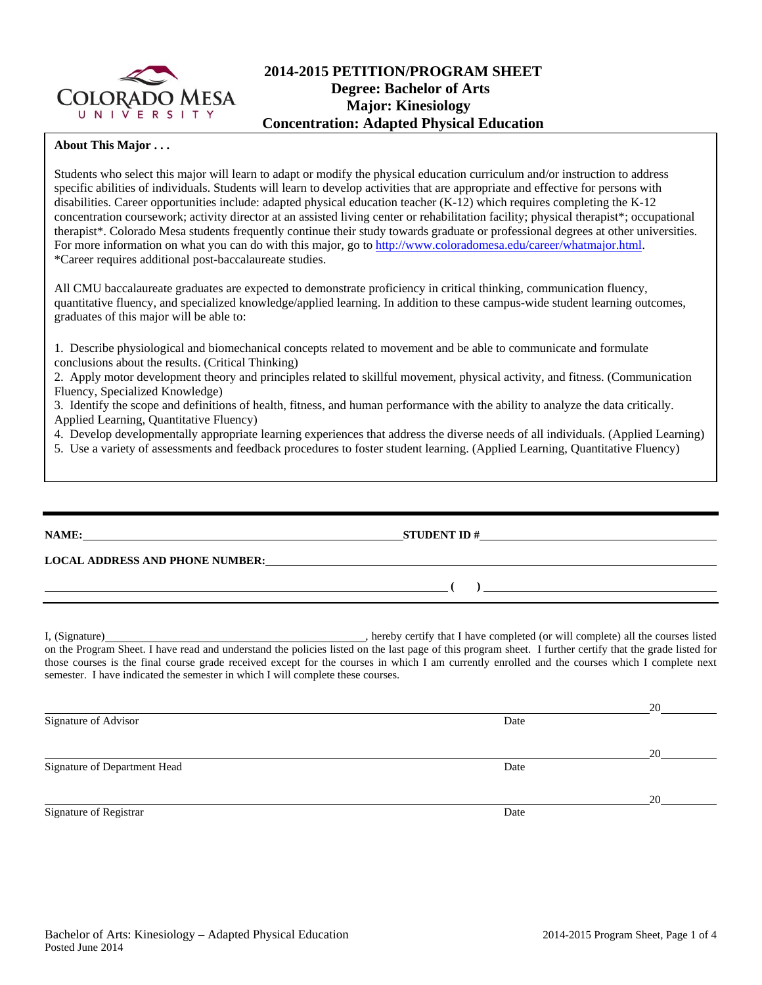

## **2014-2015 PETITION/PROGRAM SHEET Degree: Bachelor of Arts Major: Kinesiology Concentration: Adapted Physical Education**

## **About This Major . . .**

Students who select this major will learn to adapt or modify the physical education curriculum and/or instruction to address specific abilities of individuals. Students will learn to develop activities that are appropriate and effective for persons with disabilities. Career opportunities include: adapted physical education teacher (K-12) which requires completing the K-12 concentration coursework; activity director at an assisted living center or rehabilitation facility; physical therapist\*; occupational therapist\*. Colorado Mesa students frequently continue their study towards graduate or professional degrees at other universities. For more information on what you can do with this major, go to http://www.coloradomesa.edu/career/whatmajor.html. \*Career requires additional post-baccalaureate studies.

All CMU baccalaureate graduates are expected to demonstrate proficiency in critical thinking, communication fluency, quantitative fluency, and specialized knowledge/applied learning. In addition to these campus-wide student learning outcomes, graduates of this major will be able to:

1. Describe physiological and biomechanical concepts related to movement and be able to communicate and formulate conclusions about the results. (Critical Thinking)

2. Apply motor development theory and principles related to skillful movement, physical activity, and fitness. (Communication Fluency, Specialized Knowledge)

3. Identify the scope and definitions of health, fitness, and human performance with the ability to analyze the data critically. Applied Learning, Quantitative Fluency)

4. Develop developmentally appropriate learning experiences that address the diverse needs of all individuals. (Applied Learning)

5. Use a variety of assessments and feedback procedures to foster student learning. (Applied Learning, Quantitative Fluency)

**NAME: STUDENT ID #**

**LOCAL ADDRESS AND PHONE NUMBER:**

I, (Signature) , hereby certify that I have completed (or will complete) all the courses listed on the Program Sheet. I have read and understand the policies listed on the last page of this program sheet. I further certify that the grade listed for those courses is the final course grade received except for the courses in which I am currently enrolled and the courses which I complete next semester. I have indicated the semester in which I will complete these courses.

|                              |      | 20 |
|------------------------------|------|----|
| Signature of Advisor         | Date |    |
|                              |      |    |
|                              |      | 20 |
| Signature of Department Head | Date |    |
|                              |      |    |
|                              |      | 20 |
| Signature of Registrar       | Date |    |

 **( )**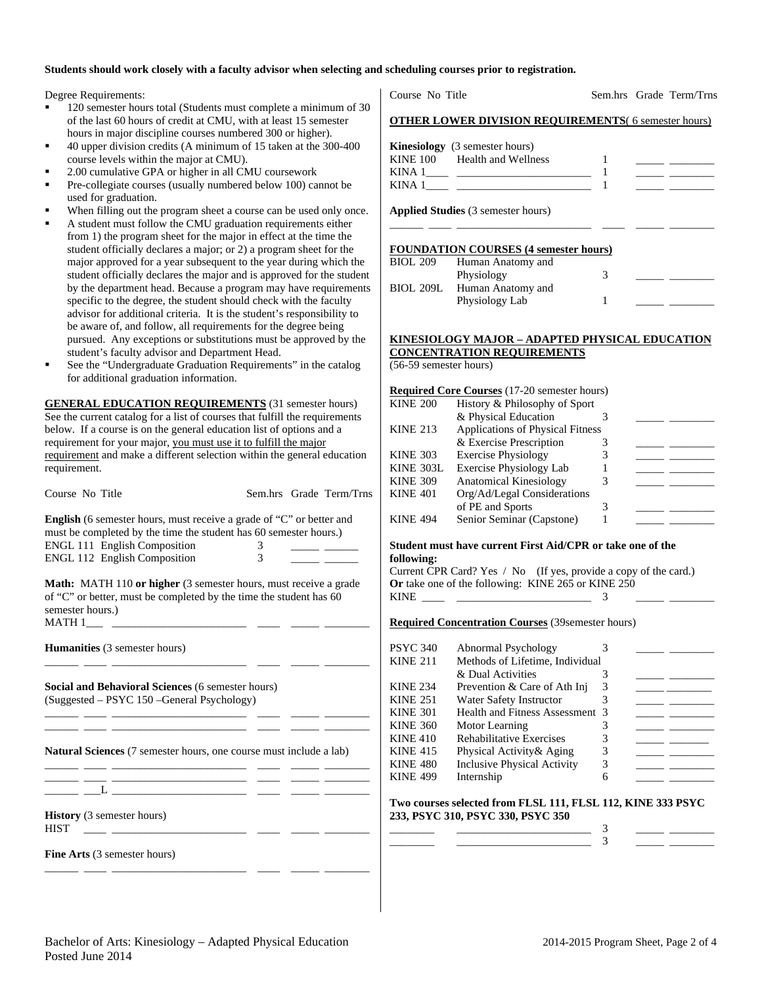## **Students should work closely with a faculty advisor when selecting and scheduling courses prior to registration.**

Degree Requirements:

- 120 semester hours total (Students must complete a minimum of 30 of the last 60 hours of credit at CMU, with at least 15 semester hours in major discipline courses numbered 300 or higher).
- 40 upper division credits (A minimum of 15 taken at the 300-400 course levels within the major at CMU).
- 2.00 cumulative GPA or higher in all CMU coursework
- Pre-collegiate courses (usually numbered below 100) cannot be used for graduation.
- When filling out the program sheet a course can be used only once.
- A student must follow the CMU graduation requirements either from 1) the program sheet for the major in effect at the time the student officially declares a major; or 2) a program sheet for the major approved for a year subsequent to the year during which the student officially declares the major and is approved for the student by the department head. Because a program may have requirements specific to the degree, the student should check with the faculty advisor for additional criteria. It is the student's responsibility to be aware of, and follow, all requirements for the degree being pursued. Any exceptions or substitutions must be approved by the student's faculty advisor and Department Head.
- See the "Undergraduate Graduation Requirements" in the catalog for additional graduation information.

**GENERAL EDUCATION REQUIREMENTS** (31 semester hours) See the current catalog for a list of courses that fulfill the requirements below. If a course is on the general education list of options and a requirement for your major, you must use it to fulfill the major requirement and make a different selection within the general education requirement.

Course No Title Sem.hrs Grade Term/Trns

**English** (6 semester hours, must receive a grade of "C" or better and must be completed by the time the student has 60 semester hours.) ENGL 111 English Composition 3 \_\_\_\_\_ \_\_\_\_\_\_ ENGL 112 English Composition 3

**Math:** MATH 110 or higher (3 semester hours, must receive a grade of "C" or better, must be completed by the time the student has 60 semester hours.)  $MATH 1$ <sub>\_\_\_\_\_</sub> \_

\_\_\_\_\_\_ \_\_\_\_ \_\_\_\_\_\_\_\_\_\_\_\_\_\_\_\_\_\_\_\_\_\_\_\_ \_\_\_\_ \_\_\_\_\_ \_\_\_\_\_\_\_\_

\_\_\_\_\_\_ \_\_\_\_ \_\_\_\_\_\_\_\_\_\_\_\_\_\_\_\_\_\_\_\_\_\_\_\_ \_\_\_\_ \_\_\_\_\_ \_\_\_\_\_\_\_\_ \_\_\_\_\_\_ \_\_\_\_ \_\_\_\_\_\_\_\_\_\_\_\_\_\_\_\_\_\_\_\_\_\_\_\_ \_\_\_\_ \_\_\_\_\_ \_\_\_\_\_\_\_\_

\_\_\_\_\_\_ \_\_\_\_ \_\_\_\_\_\_\_\_\_\_\_\_\_\_\_\_\_\_\_\_\_\_\_\_ \_\_\_\_ \_\_\_\_\_ \_\_\_\_\_\_\_\_

\_\_\_\_\_\_ \_\_\_\_ \_\_\_\_\_\_\_\_\_\_\_\_\_\_\_\_\_\_\_\_\_\_\_\_ \_\_\_\_ \_\_\_\_\_ \_\_\_\_\_\_\_\_

**Humanities** (3 semester hours)

**Social and Behavioral Sciences** (6 semester hours) (Suggested – PSYC 150 –General Psychology)

**Natural Sciences** (7 semester hours, one course must include a lab)

\_\_\_\_\_\_ \_\_\_\_ \_\_\_\_\_\_\_\_\_\_\_\_\_\_\_\_\_\_\_\_\_\_\_\_ \_\_\_\_ \_\_\_\_\_ \_\_\_\_\_\_\_\_  $\frac{1}{\sqrt{2}}$   $\frac{1}{\sqrt{2}}$   $\frac{1}{\sqrt{2}}$ 

**History** (3 semester hours) HIST \_\_\_\_ \_\_\_\_\_\_\_\_\_\_\_\_\_\_\_\_\_\_\_\_\_\_\_\_ \_\_\_\_ \_\_\_\_\_ \_\_\_\_\_\_\_\_

**Fine Arts** (3 semester hours)

| Course No Title |  |  |
|-----------------|--|--|
|                 |  |  |

Sem.hrs Grade Term/Trns

|--|

|                 | <b>Kinesiology</b> (3 semester hours) |  |
|-----------------|---------------------------------------|--|
| <b>KINE 100</b> | Health and Wellness                   |  |
| KINA 1          |                                       |  |
| KINA 1          |                                       |  |

**Applied Studies** (3 semester hours)

#### **FOUNDATION COURSES (4 semester hours)**

| <b>BIOL 209</b> | Human Anatomy and |  |
|-----------------|-------------------|--|
|                 | Physiology        |  |
| BIOL 209L       | Human Anatomy and |  |
|                 | Physiology Lab    |  |

\_\_\_\_\_\_ \_\_\_\_ \_\_\_\_\_\_\_\_\_\_\_\_\_\_\_\_\_\_\_\_\_\_\_\_ \_\_\_\_ \_\_\_\_\_ \_\_\_\_\_\_\_\_

## **KINESIOLOGY MAJOR – ADAPTED PHYSICAL EDUCATION CONCENTRATION REQUIREMENTS**

(56-59 semester hours)

|                 | <b>Required Core Courses</b> (17-20 semester hours) |  |
|-----------------|-----------------------------------------------------|--|
| <b>KINE 200</b> | History & Philosophy of Sport                       |  |
|                 | & Physical Education                                |  |
| <b>KINE 213</b> | Applications of Physical Fitness                    |  |
|                 | & Exercise Prescription                             |  |
| <b>KINE 303</b> | <b>Exercise Physiology</b>                          |  |
| KINE 303L       | <b>Exercise Physiology Lab</b>                      |  |
| <b>KINE 309</b> | <b>Anatomical Kinesiology</b>                       |  |
| <b>KINE 401</b> | Org/Ad/Legal Considerations                         |  |
|                 | of PE and Sports                                    |  |
| <b>KINE 494</b> | Senior Seminar (Capstone)                           |  |
|                 |                                                     |  |

## **Student must have current First Aid/CPR or take one of the following:**

Current CPR Card? Yes / No (If yes, provide a copy of the card.) **Or** take one of the following: KINE 265 or KINE 250 KINE \_\_\_\_ \_\_\_\_\_\_\_\_\_\_\_\_\_\_\_\_\_\_\_\_\_\_\_\_ 3 \_\_\_\_\_ \_\_\_\_\_\_\_\_

## **Required Concentration Courses** (39semester hours)

| PSYC 340        | Abnormal Psychology                |  |  |
|-----------------|------------------------------------|--|--|
| <b>KINE 211</b> | Methods of Lifetime, Individual    |  |  |
|                 | & Dual Activities                  |  |  |
| <b>KINE 234</b> | Prevention & Care of Ath Inj       |  |  |
| <b>KINE 251</b> | Water Safety Instructor            |  |  |
| <b>KINE 301</b> | Health and Fitness Assessment 3    |  |  |
| <b>KINE 360</b> | Motor Learning                     |  |  |
| <b>KINE 410</b> | <b>Rehabilitative Exercises</b>    |  |  |
| <b>KINE 415</b> | Physical Activity & Aging          |  |  |
| <b>KINE 480</b> | <b>Inclusive Physical Activity</b> |  |  |
| <b>KINE 499</b> | Internship                         |  |  |
|                 |                                    |  |  |

#### **Two courses selected from FLSL 111, FLSL 112, KINE 333 PSYC 233, PSYC 310, PSYC 330, PSYC 350**  \_\_\_\_\_\_\_\_ \_\_\_\_\_\_\_\_\_\_\_\_\_\_\_\_\_\_\_\_\_\_\_\_ 3 \_\_\_\_\_ \_\_\_\_\_\_\_\_

\_\_\_\_\_\_\_\_ \_\_\_\_\_\_\_\_\_\_\_\_\_\_\_\_\_\_\_\_\_\_\_\_ 3 \_\_\_\_\_ \_\_\_\_\_\_\_\_

Bachelor of Arts: Kinesiology – Adapted Physical Education 2014-2015 Program Sheet, Page 2 of 4 Posted June 2014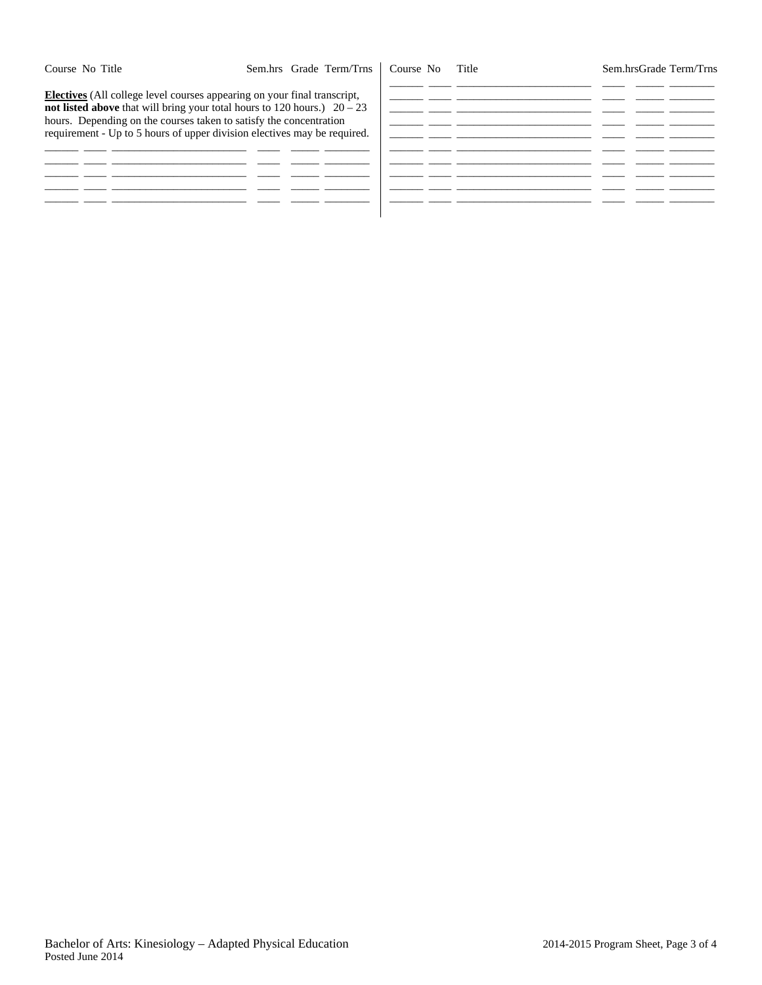Sem.hrsGrade Term/Trns

**Electives** (All college level courses appearing on your final transcript, **not listed above** that will bring your total hours to 120 hours.)  $20 - 23$ hours. Depending on the courses taken to satisfy the concentration requirement - Up to 5 hours of upper division electives may be required.

|  | - - |  |
|--|-----|--|
|  |     |  |
|  |     |  |
|  |     |  |
|  |     |  |
|  | - - |  |
|  |     |  |
|  |     |  |